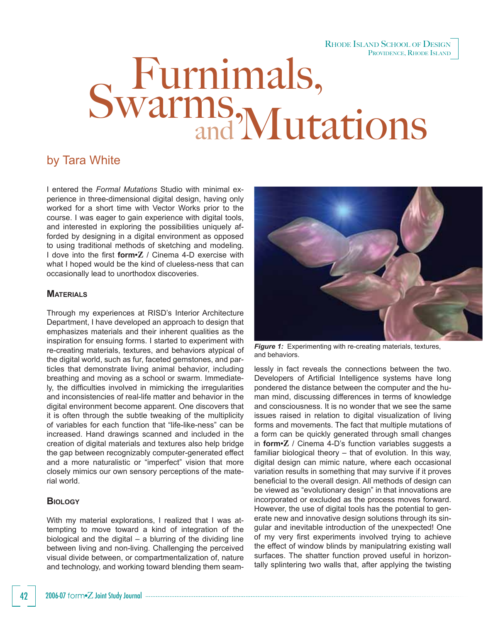#### RHODE ISLAND SCHOOL OF DESIGN PROVIDENCE, RHODE ISLAND

# Swarms, Mutations

# by Tara White

I entered the *Formal Mutations* Studio with minimal experience in three-dimensional digital design, having only worked for a short time with Vector Works prior to the course. I was eager to gain experience with digital tools, and interested in exploring the possibilities uniquely afforded by designing in a digital environment as opposed to using traditional methods of sketching and modeling. I dove into the first **form**<sup>2</sup> / Cinema 4-D exercise with what I hoped would be the kind of clueless-ness that can occasionally lead to unorthodox discoveries.

### **MATERIALS**

Through my experiences at RISD's Interior Architecture Department, I have developed an approach to design that emphasizes materials and their inherent qualities as the inspiration for ensuing forms. I started to experiment with re-creating materials, textures, and behaviors atypical of the digital world, such as fur, faceted gemstones, and particles that demonstrate living animal behavior, including breathing and moving as a school or swarm. Immediately, the difficulties involved in mimicking the irregularities and inconsistencies of real-life matter and behavior in the digital environment become apparent. One discovers that it is often through the subtle tweaking of the multiplicity of variables for each function that "life-like-ness" can be increased. Hand drawings scanned and included in the creation of digital materials and textures also help bridge the gap between recognizably computer-generated effect and a more naturalistic or "imperfect" vision that more closely mimics our own sensory perceptions of the material world.

# **BIOLOGY**

With my material explorations, I realized that I was attempting to move toward a kind of integration of the biological and the digital – a blurring of the dividing line between living and non-living. Challenging the perceived visual divide between, or compartmentalization of, nature and technology, and working toward blending them seam-



**Figure 1:** Experimenting with re-creating materials, textures, and behaviors.

lessly in fact reveals the connections between the two. Developers of Artificial Intelligence systems have long pondered the distance between the computer and the human mind, discussing differences in terms of knowledge and consciousness. It is no wonder that we see the same issues raised in relation to digital visualization of living forms and movements. The fact that multiple mutations of a form can be quickly generated through small changes in **form•Z** / Cinema 4-D's function variables suggests a familiar biological theory – that of evolution. In this way, digital design can mimic nature, where each occasional variation results in something that may survive if it proves beneficial to the overall design. All methods of design can be viewed as "evolutionary design" in that innovations are incorporated or excluded as the process moves forward. However, the use of digital tools has the potential to generate new and innovative design solutions through its singular and inevitable introduction of the unexpected! One of my very first experiments involved trying to achieve the effect of window blinds by manipulatring existing wall surfaces. The shatter function proved useful in horizontally splintering two walls that, after applying the twisting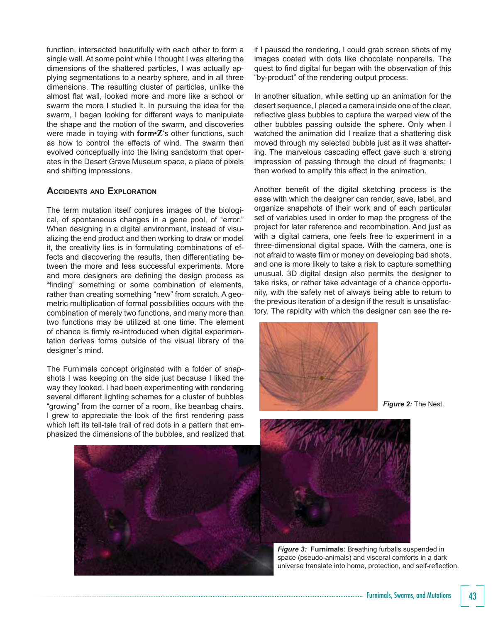function, intersected beautifully with each other to form a single wall. At some point while I thought I was altering the dimensions of the shattered particles, I was actually applying segmentations to a nearby sphere, and in all three dimensions. The resulting cluster of particles, unlike the almost flat wall, looked more and more like a school or swarm the more I studied it. In pursuing the idea for the swarm, I began looking for different ways to manipulate the shape and the motion of the swarm, and discoveries were made in toying with **form•Z**'s other functions, such as how to control the effects of wind. The swarm then evolved conceptually into the living sandstorm that operates in the Desert Grave Museum space, a place of pixels and shifting impressions.

# **ACCIDENTS AND EXPLORATION**

The term mutation itself conjures images of the biological, of spontaneous changes in a gene pool, of "error." When designing in a digital environment, instead of visualizing the end product and then working to draw or model it, the creativity lies is in formulating combinations of effects and discovering the results, then differentiating between the more and less successful experiments. More and more designers are defining the design process as "finding" something or some combination of elements, rather than creating something "new" from scratch. A geometric multiplication of formal possibilities occurs with the combination of merely two functions, and many more than two functions may be utilized at one time. The element of chance is firmly re-introduced when digital experimentation derives forms outside of the visual library of the designer's mind.

The Furnimals concept originated with a folder of snapshots I was keeping on the side just because I liked the way they looked. I had been experimenting with rendering several different lighting schemes for a cluster of bubbles "growing" from the corner of a room, like beanbag chairs. I grew to appreciate the look of the first rendering pass which left its tell-tale trail of red dots in a pattern that emphasized the dimensions of the bubbles, and realized that

if I paused the rendering, I could grab screen shots of my images coated with dots like chocolate nonpareils. The quest to find digital fur began with the observation of this "by-product" of the rendering output process.

In another situation, while setting up an animation for the desert sequence, I placed a camera inside one of the clear, reflective glass bubbles to capture the warped view of the other bubbles passing outside the sphere. Only when I watched the animation did I realize that a shattering disk moved through my selected bubble just as it was shattering. The marvelous cascading effect gave such a strong impression of passing through the cloud of fragments; I then worked to amplify this effect in the animation.

Another benefit of the digital sketching process is the ease with which the designer can render, save, label, and organize snapshots of their work and of each particular set of variables used in order to map the progress of the project for later reference and recombination. And just as with a digital camera, one feels free to experiment in a three-dimensional digital space. With the camera, one is not afraid to waste film or money on developing bad shots, and one is more likely to take a risk to capture something unusual. 3D digital design also permits the designer to take risks, or rather take advantage of a chance opportunity, with the safety net of always being able to return to the previous iteration of a design if the result is unsatisfactory. The rapidity with which the designer can see the re-



*Figure 2:* The Nest.



*Figure 3:* **Furnimals**: Breathing furballs suspended in space (pseudo-animals) and visceral comforts in a dark universe translate into home, protection, and self-reflection.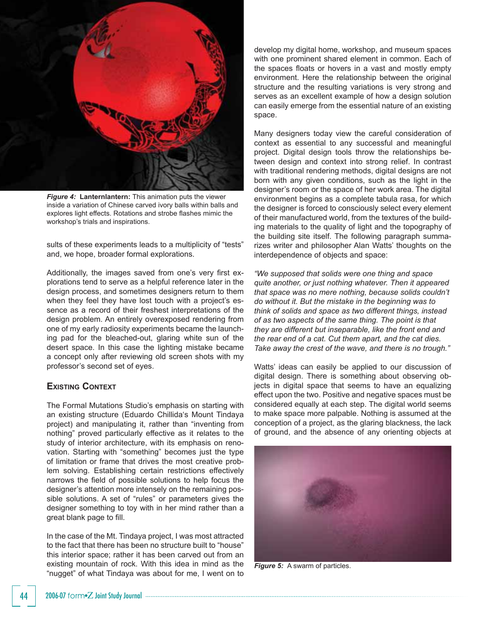

*Figure 4:* **Lanternlantern:** This animation puts the viewer inside a variation of Chinese carved ivory balls within balls and explores light effects. Rotations and strobe flashes mimic the workshop's trials and inspirations.

sults of these experiments leads to a multiplicity of "tests" and, we hope, broader formal explorations.

Additionally, the images saved from one's very first explorations tend to serve as a helpful reference later in the design process, and sometimes designers return to them when they feel they have lost touch with a project's essence as a record of their freshest interpretations of the design problem. An entirely overexposed rendering from one of my early radiosity experiments became the launching pad for the bleached-out, glaring white sun of the desert space. In this case the lighting mistake became a concept only after reviewing old screen shots with my professor's second set of eyes.

# **EXISTING CONTEXT**

The Formal Mutations Studio's emphasis on starting with an existing structure (Eduardo Chillida's Mount Tindaya project) and manipulating it, rather than "inventing from nothing" proved particularly effective as it relates to the study of interior architecture, with its emphasis on renovation. Starting with "something" becomes just the type of limitation or frame that drives the most creative problem solving. Establishing certain restrictions effectively narrows the field of possible solutions to help focus the designer's attention more intensely on the remaining possible solutions. A set of "rules" or parameters gives the designer something to toy with in her mind rather than a great blank page to fill.

In the case of the Mt. Tindaya project, I was most attracted to the fact that there has been no structure built to "house" this interior space; rather it has been carved out from an existing mountain of rock. With this idea in mind as the "nugget" of what Tindaya was about for me, I went on to

develop my digital home, workshop, and museum spaces with one prominent shared element in common. Each of the spaces floats or hovers in a vast and mostly empty environment. Here the relationship between the original structure and the resulting variations is very strong and serves as an excellent example of how a design solution can easily emerge from the essential nature of an existing space.

Many designers today view the careful consideration of context as essential to any successful and meaningful project. Digital design tools throw the relationships between design and context into strong relief. In contrast with traditional rendering methods, digital designs are not born with any given conditions, such as the light in the designer's room or the space of her work area. The digital environment begins as a complete tabula rasa, for which the designer is forced to consciously select every element of their manufactured world, from the textures of the building materials to the quality of light and the topography of the building site itself. The following paragraph summarizes writer and philosopher Alan Watts' thoughts on the interdependence of objects and space:

*"We supposed that solids were one thing and space quite another, or just nothing whatever. Then it appeared that space was no mere nothing, because solids couldn't do without it. But the mistake in the beginning was to think of solids and space as two different things, instead of as two aspects of the same thing. The point is that they are different but inseparable, like the front end and the rear end of a cat. Cut them apart, and the cat dies. Take away the crest of the wave, and there is no trough."* 

Watts' ideas can easily be applied to our discussion of digital design. There is something about observing objects in digital space that seems to have an equalizing effect upon the two. Positive and negative spaces must be considered equally at each step. The digital world seems to make space more palpable. Nothing is assumed at the conception of a project, as the glaring blackness, the lack of ground, and the absence of any orienting objects at



*Figure 5:* A swarm of particles.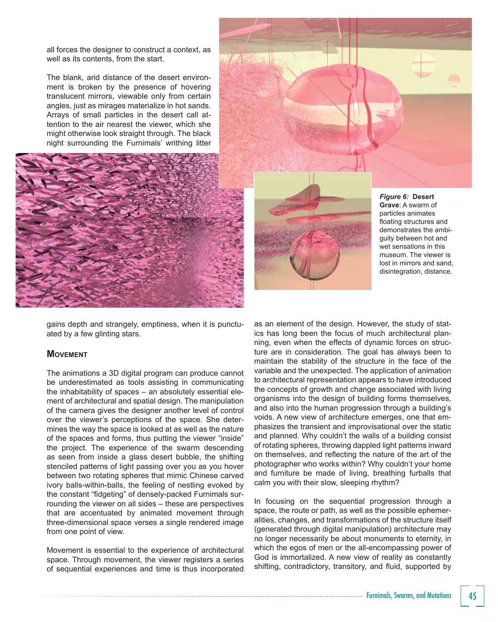all forces the designer to construct a context, as well as its contents, from the start.

The blank, arid distance of the desert environment is broken by the presence of hovering translucent mirrors, viewable only from certain angles, just as mirages materialize in hot sands. Arrays of small particles in the desert call attention to the air nearest the viewer, which she might otherwise look straight through. The black night surrounding the Furnimals' writhing litter





*Figure 6:* **Desert Grave**: A swarm of particles animates floating structures and demonstrates the ambiguity between hot and wet sensations in this museum. The viewer is lost in mirrors and sand, disintegration, distance.

gains depth and strangely, emptiness, when it is punctuated by a few glinting stars.

#### **MOVEMENT**

The animations a 3D digital program can produce cannot be underestimated as tools assisting in communicating the inhabitability of spaces – an absolutely essential element of architectural and spatial design. The manipulation of the camera gives the designer another level of control over the viewer's perceptions of the space. She determines the way the space is looked at as well as the nature of the spaces and forms, thus putting the viewer "inside" the project. The experience of the swarm descending as seen from inside a glass desert bubble, the shifting stenciled patterns of light passing over you as you hover between two rotating spheres that mimic Chinese carved ivory balls-within-balls, the feeling of nestling evoked by the constant "fidgeting" of densely-packed Furnimals surrounding the viewer on all sides – these are perspectives that are accentuated by animated movement through three-dimensional space verses a single rendered image from one point of view.

Movement is essential to the experience of architectural space. Through movement, the viewer registers a series of sequential experiences and time is thus incorporated as an element of the design. However, the study of statics has long been the focus of much architectural planning, even when the effects of dynamic forces on structure are in consideration. The goal has always been to maintain the stability of the structure in the face of the variable and the unexpected. The application of animation to architectural representation appears to have introduced the concepts of growth and change associated with living organisms into the design of building forms themselves, and also into the human progression through a building's voids. A new view of architecture emerges, one that emphasizes the transient and improvisational over the static and planned. Why couldn't the walls of a building consist of rotating spheres, throwing dappled light patterns inward on themselves, and reflecting the nature of the art of the photographer who works within? Why couldn't your home and furniture be made of living, breathing furballs that calm you with their slow, sleeping rhythm?

In focusing on the sequential progression through a space, the route or path, as well as the possible ephemeralities, changes, and transformations of the structure itself (generated through digital manipulation) architecture may no longer necessarily be about monuments to eternity, in which the egos of men or the all-encompassing power of God is immortalized. A new view of reality as constantly shifting, contradictory, transitory, and fluid, supported by